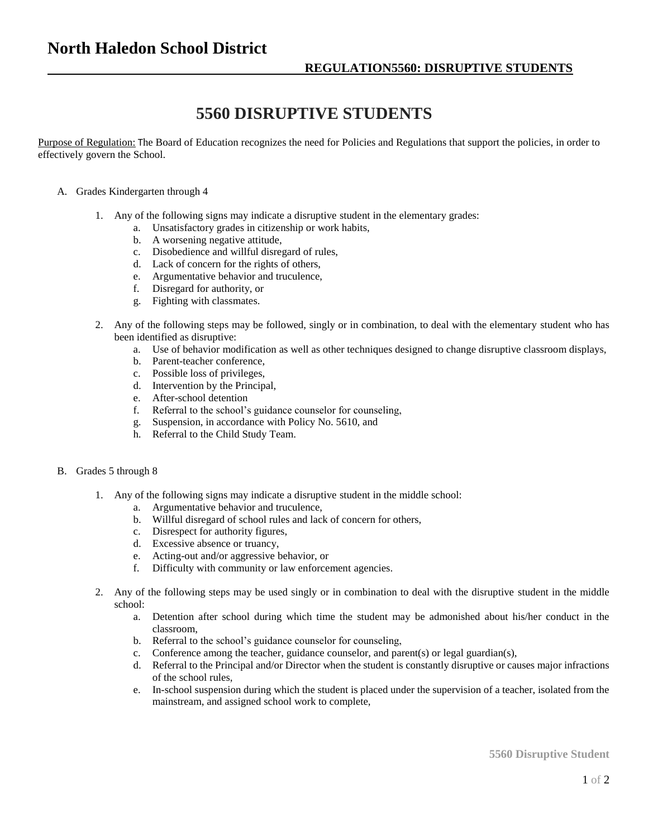## **5560 DISRUPTIVE STUDENTS**

Purpose of Regulation: The Board of Education recognizes the need for Policies and Regulations that support the policies, in order to effectively govern the School.

## A. Grades Kindergarten through 4

- 1. Any of the following signs may indicate a disruptive student in the elementary grades:
	- a. Unsatisfactory grades in citizenship or work habits,
	- b. A worsening negative attitude,
	- c. Disobedience and willful disregard of rules,
	- d. Lack of concern for the rights of others,
	- e. Argumentative behavior and truculence,
	- f. Disregard for authority, or
	- g. Fighting with classmates.
- 2. Any of the following steps may be followed, singly or in combination, to deal with the elementary student who has been identified as disruptive:
	- a. Use of behavior modification as well as other techniques designed to change disruptive classroom displays,
	- b. Parent-teacher conference,
	- c. Possible loss of privileges,
	- d. Intervention by the Principal,
	- e. After-school detention
	- f. Referral to the school's guidance counselor for counseling,
	- g. Suspension, in accordance with Policy No. 5610, and
	- h. Referral to the Child Study Team.

## B. Grades 5 through 8

- 1. Any of the following signs may indicate a disruptive student in the middle school:
	- a. Argumentative behavior and truculence,
	- b. Willful disregard of school rules and lack of concern for others,
	- c. Disrespect for authority figures,
	- d. Excessive absence or truancy,
	- e. Acting-out and/or aggressive behavior, or
	- f. Difficulty with community or law enforcement agencies.
- 2. Any of the following steps may be used singly or in combination to deal with the disruptive student in the middle school:
	- a. Detention after school during which time the student may be admonished about his/her conduct in the classroom,
	- b. Referral to the school's guidance counselor for counseling,
	- c. Conference among the teacher, guidance counselor, and parent(s) or legal guardian(s),
	- d. Referral to the Principal and/or Director when the student is constantly disruptive or causes major infractions of the school rules,
	- e. In-school suspension during which the student is placed under the supervision of a teacher, isolated from the mainstream, and assigned school work to complete,